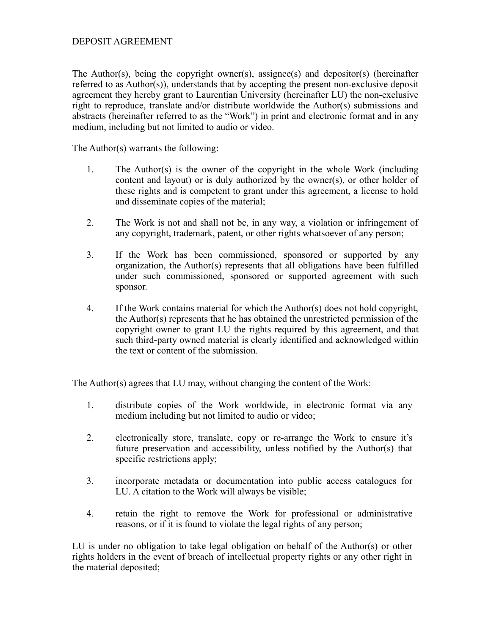## DEPOSIT AGREEMENT

The Author(s), being the copyright owner(s), assignee(s) and depositor(s) (hereinafter referred to as Author(s)), understands that by accepting the present non-exclusive deposit agreement they hereby grant to Laurentian University (hereinafter LU) the non-exclusive right to reproduce, translate and/or distribute worldwide the Author(s) submissions and abstracts (hereinafter referred to as the "Work") in print and electronic format and in any medium, including but not limited to audio or video.

The Author(s) warrants the following:

- 1. The Author(s) is the owner of the copyright in the whole Work (including content and layout) or is duly authorized by the owner(s), or other holder of these rights and is competent to grant under this agreement, a license to hold and disseminate copies of the material;
- 2. The Work is not and shall not be, in any way, a violation or infringement of any copyright, trademark, patent, or other rights whatsoever of any person;
- 3. If the Work has been commissioned, sponsored or supported by any organization, the Author(s) represents that all obligations have been fulfilled under such commissioned, sponsored or supported agreement with such sponsor.
- 4. If the Work contains material for which the Author(s) does not hold copyright, the Author(s) represents that he has obtained the unrestricted permission of the copyright owner to grant LU the rights required by this agreement, and that such third-party owned material is clearly identified and acknowledged within the text or content of the submission.

The Author(s) agrees that LU may, without changing the content of the Work:

- 1. distribute copies of the Work worldwide, in electronic format via any medium including but not limited to audio or video;
- 2. electronically store, translate, copy or re-arrange the Work to ensure it's future preservation and accessibility, unless notified by the Author(s) that specific restrictions apply;
- 3. incorporate metadata or documentation into public access catalogues for LU. A citation to the Work will always be visible;
- 4. retain the right to remove the Work for professional or administrative reasons, or if it is found to violate the legal rights of any person;

LU is under no obligation to take legal obligation on behalf of the Author(s) or other rights holders in the event of breach of intellectual property rights or any other right in the material deposited;